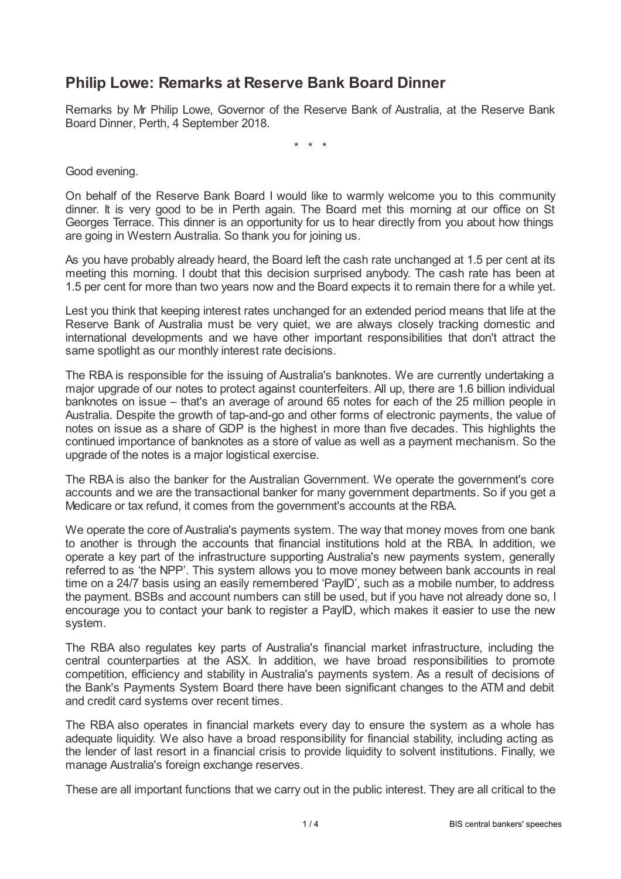## **Philip Lowe: Remarks at Reserve Bank Board Dinner**

Remarks by Mr Philip Lowe, Governor of the Reserve Bank of Australia, at the Reserve Bank Board Dinner, Perth, 4 September 2018.

\* \* \*

Good evening.

On behalf of the Reserve Bank Board I would like to warmly welcome you to this community dinner. It is very good to be in Perth again. The Board met this morning at our office on St Georges Terrace. This dinner is an opportunity for us to hear directly from you about how things are going in Western Australia. So thank you for joining us.

As you have probably already heard, the Board left the cash rate unchanged at 1.5 per cent at its meeting this morning. I doubt that this decision surprised anybody. The cash rate has been at 1.5 per cent for more than two years now and the Board expects it to remain there for a while yet.

Lest you think that keeping interest rates unchanged for an extended period means that life at the Reserve Bank of Australia must be very quiet, we are always closely tracking domestic and international developments and we have other important responsibilities that don't attract the same spotlight as our monthly interest rate decisions.

The RBA is responsible for the issuing of Australia's banknotes. We are currently undertaking a major upgrade of our notes to protect against counterfeiters. All up, there are 1.6 billion individual banknotes on issue – that's an average of around 65 notes for each of the 25 million people in Australia. Despite the growth of tap-and-go and other forms of electronic payments, the value of notes on issue as a share of GDP is the highest in more than five decades. This highlights the continued importance of banknotes as a store of value as well as a payment mechanism. So the upgrade of the notes is a major logistical exercise.

The RBA is also the banker for the Australian Government. We operate the government's core accounts and we are the transactional banker for many government departments. So if you get a Medicare or tax refund, it comes from the government's accounts at the RBA.

We operate the core of Australia's payments system. The way that money moves from one bank to another is through the accounts that financial institutions hold at the RBA. In addition, we operate a key part of the infrastructure supporting Australia's new payments system, generally referred to as 'the NPP'. This system allows you to move money between bank accounts in real time on a 24/7 basis using an easily remembered 'PayID', such as a mobile number, to address the payment. BSBs and account numbers can still be used, but if you have not already done so, I encourage you to contact your bank to register a PayID, which makes it easier to use the new system.

The RBA also regulates key parts of Australia's financial market infrastructure, including the central counterparties at the ASX. In addition, we have broad responsibilities to promote competition, efficiency and stability in Australia's payments system. As a result of decisions of the Bank's Payments System Board there have been significant changes to the ATM and debit and credit card systems over recent times.

The RBA also operates in financial markets every day to ensure the system as a whole has adequate liquidity. We also have a broad responsibility for financial stability, including acting as the lender of last resort in a financial crisis to provide liquidity to solvent institutions. Finally, we manage Australia's foreign exchange reserves.

These are all important functions that we carry out in the public interest. They are all critical to the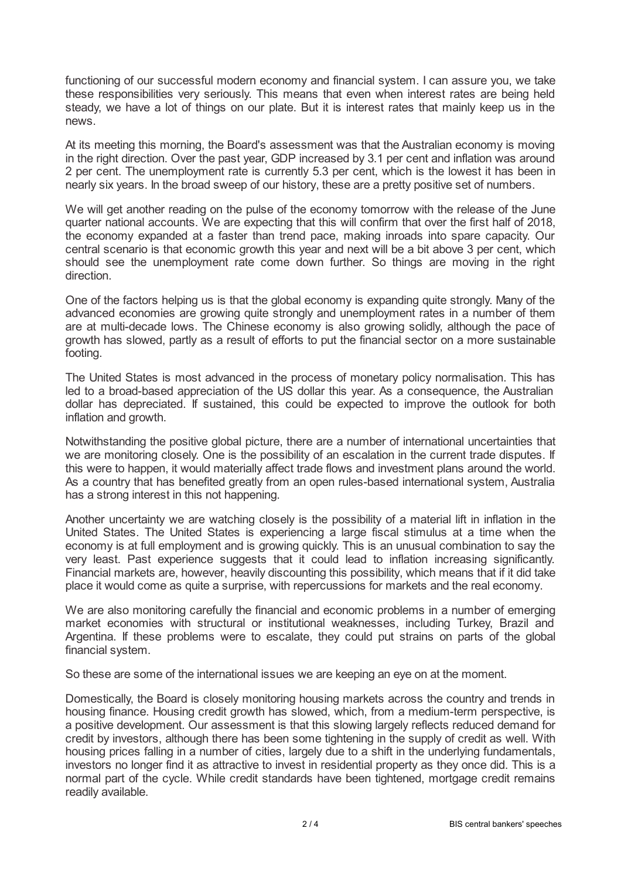functioning of our successful modern economy and financial system. I can assure you, we take these responsibilities very seriously. This means that even when interest rates are being held steady, we have a lot of things on our plate. But it is interest rates that mainly keep us in the news.

At its meeting this morning, the Board's assessment was that the Australian economy is moving in the right direction. Over the past year, GDP increased by 3.1 per cent and inflation was around 2 per cent. The unemployment rate is currently 5.3 per cent, which is the lowest it has been in nearly six years. In the broad sweep of our history, these are a pretty positive set of numbers.

We will get another reading on the pulse of the economy tomorrow with the release of the June quarter national accounts. We are expecting that this will confirm that over the first half of 2018, the economy expanded at a faster than trend pace, making inroads into spare capacity. Our central scenario is that economic growth this year and next will be a bit above 3 per cent, which should see the unemployment rate come down further. So things are moving in the right direction.

One of the factors helping us is that the global economy is expanding quite strongly. Many of the advanced economies are growing quite strongly and unemployment rates in a number of them are at multi-decade lows. The Chinese economy is also growing solidly, although the pace of growth has slowed, partly as a result of efforts to put the financial sector on a more sustainable footing.

The United States is most advanced in the process of monetary policy normalisation. This has led to a broad-based appreciation of the US dollar this year. As a consequence, the Australian dollar has depreciated. If sustained, this could be expected to improve the outlook for both inflation and growth.

Notwithstanding the positive global picture, there are a number of international uncertainties that we are monitoring closely. One is the possibility of an escalation in the current trade disputes. If this were to happen, it would materially affect trade flows and investment plans around the world. As a country that has benefited greatly from an open rules-based international system, Australia has a strong interest in this not happening.

Another uncertainty we are watching closely is the possibility of a material lift in inflation in the United States. The United States is experiencing a large fiscal stimulus at a time when the economy is at full employment and is growing quickly. This is an unusual combination to say the very least. Past experience suggests that it could lead to inflation increasing significantly. Financial markets are, however, heavily discounting this possibility, which means that if it did take place it would come as quite a surprise, with repercussions for markets and the real economy.

We are also monitoring carefully the financial and economic problems in a number of emerging market economies with structural or institutional weaknesses, including Turkey, Brazil and Argentina. If these problems were to escalate, they could put strains on parts of the global financial system.

So these are some of the international issues we are keeping an eye on at the moment.

Domestically, the Board is closely monitoring housing markets across the country and trends in housing finance. Housing credit growth has slowed, which, from a medium-term perspective, is a positive development. Our assessment is that this slowing largely reflects reduced demand for credit by investors, although there has been some tightening in the supply of credit as well. With housing prices falling in a number of cities, largely due to a shift in the underlying fundamentals, investors no longer find it as attractive to invest in residential property as they once did. This is a normal part of the cycle. While credit standards have been tightened, mortgage credit remains readily available.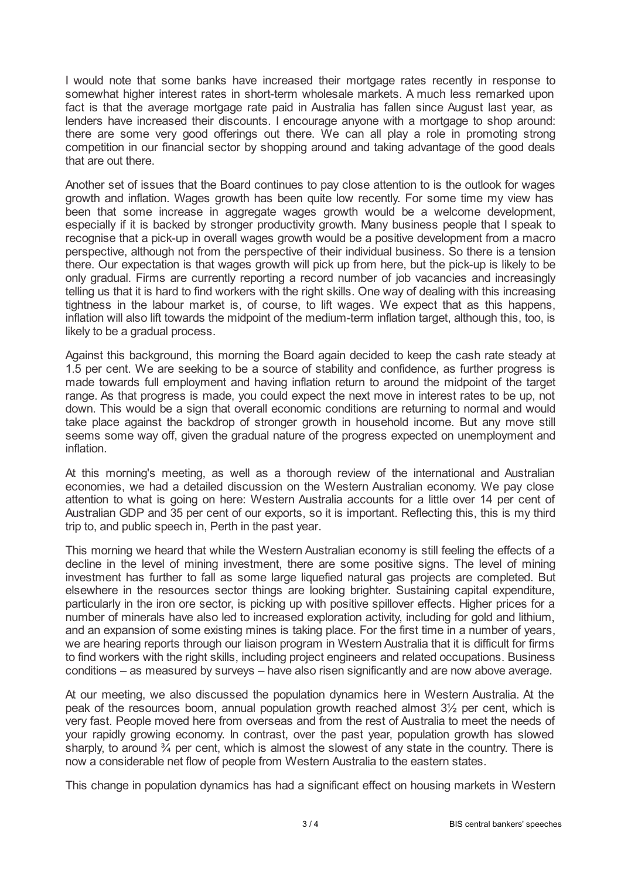I would note that some banks have increased their mortgage rates recently in response to somewhat higher interest rates in short-term wholesale markets. A much less remarked upon fact is that the average mortgage rate paid in Australia has fallen since August last year, as lenders have increased their discounts. I encourage anyone with a mortgage to shop around: there are some very good offerings out there. We can all play a role in promoting strong competition in our financial sector by shopping around and taking advantage of the good deals that are out there.

Another set of issues that the Board continues to pay close attention to is the outlook for wages growth and inflation. Wages growth has been quite low recently. For some time my view has been that some increase in aggregate wages growth would be a welcome development, especially if it is backed by stronger productivity growth. Many business people that I speak to recognise that a pick-up in overall wages growth would be a positive development from a macro perspective, although not from the perspective of their individual business. So there is a tension there. Our expectation is that wages growth will pick up from here, but the pick-up is likely to be only gradual. Firms are currently reporting a record number of job vacancies and increasingly telling us that it is hard to find workers with the right skills. One way of dealing with this increasing tightness in the labour market is, of course, to lift wages. We expect that as this happens, inflation will also lift towards the midpoint of the medium-term inflation target, although this, too, is likely to be a gradual process.

Against this background, this morning the Board again decided to keep the cash rate steady at 1.5 per cent. We are seeking to be a source of stability and confidence, as further progress is made towards full employment and having inflation return to around the midpoint of the target range. As that progress is made, you could expect the next move in interest rates to be up, not down. This would be a sign that overall economic conditions are returning to normal and would take place against the backdrop of stronger growth in household income. But any move still seems some way off, given the gradual nature of the progress expected on unemployment and inflation.

At this morning's meeting, as well as a thorough review of the international and Australian economies, we had a detailed discussion on the Western Australian economy. We pay close attention to what is going on here: Western Australia accounts for a little over 14 per cent of Australian GDP and 35 per cent of our exports, so it is important. Reflecting this, this is my third trip to, and public speech in, Perth in the past year.

This morning we heard that while the Western Australian economy is still feeling the effects of a decline in the level of mining investment, there are some positive signs. The level of mining investment has further to fall as some large liquefied natural gas projects are completed. But elsewhere in the resources sector things are looking brighter. Sustaining capital expenditure, particularly in the iron ore sector, is picking up with positive spillover effects. Higher prices for a number of minerals have also led to increased exploration activity, including for gold and lithium, and an expansion of some existing mines is taking place. For the first time in a number of years, we are hearing reports through our liaison program in Western Australia that it is difficult for firms to find workers with the right skills, including project engineers and related occupations. Business conditions – as measured by surveys – have also risen significantly and are now above average.

At our meeting, we also discussed the population dynamics here in Western Australia. At the peak of the resources boom, annual population growth reached almost 3½ per cent, which is very fast. People moved here from overseas and from the rest of Australia to meet the needs of your rapidly growing economy. In contrast, over the past year, population growth has slowed sharply, to around  $\frac{3}{4}$  per cent, which is almost the slowest of any state in the country. There is now a considerable net flow of people from Western Australia to the eastern states.

This change in population dynamics has had a significant effect on housing markets in Western